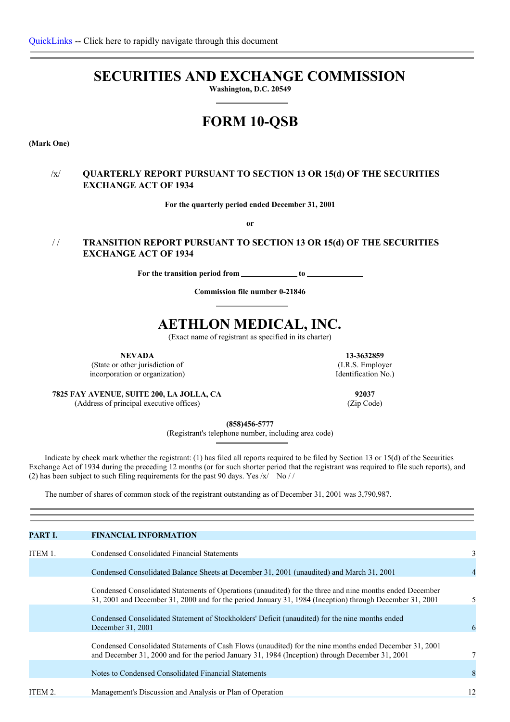# **SECURITIES AND EXCHANGE COMMISSION**

**Washington, D.C. 20549**

# **FORM 10-QSB**

**(Mark One)**

# /x/ **QUARTERLY REPORT PURSUANT TO SECTION 13 OR 15(d) OF THE SECURITIES EXCHANGE ACT OF 1934**

**For the quarterly period ended December 31, 2001**

**or**

# / / **TRANSITION REPORT PURSUANT TO SECTION 13 OR 15(d) OF THE SECURITIES EXCHANGE ACT OF 1934**

**For** the transition period from **to to the** 

**Commission file number 0-21846**

# **AETHLON MEDICAL, INC.**

(Exact name of registrant as specified in its charter)

**NEVADA**

(State or other jurisdiction of incorporation or organization)

**13-3632859** (I.R.S. Employer Identification No.)

**7825 FAY AVENUE, SUITE 200, LA JOLLA, CA** (Address of principal executive offices)

**92037** (Zip Code)

**(858)456-5777**

(Registrant's telephone number, including area code)

Indicate by check mark whether the registrant: (1) has filed all reports required to be filed by Section 13 or 15(d) of the Securities Exchange Act of 1934 during the preceding 12 months (or for such shorter period that the registrant was required to file such reports), and (2) has been subject to such filing requirements for the past 90 days. Yes  $\frac{x}{x}$  No //

The number of shares of common stock of the registrant outstanding as of December 31, 2001 was 3,790,987.

| PART I. | <b>FINANCIAL INFORMATION</b>                                                                                                                                                                                         |    |
|---------|----------------------------------------------------------------------------------------------------------------------------------------------------------------------------------------------------------------------|----|
| ITEM 1. | Condensed Consolidated Financial Statements                                                                                                                                                                          | 3  |
|         | Condensed Consolidated Balance Sheets at December 31, 2001 (unaudited) and March 31, 2001                                                                                                                            |    |
|         | Condensed Consolidated Statements of Operations (unaudited) for the three and nine months ended December<br>31, 2001 and December 31, 2000 and for the period January 31, 1984 (Inception) through December 31, 2001 | 5  |
|         | Condensed Consolidated Statement of Stockholders' Deficit (unaudited) for the nine months ended<br>December 31, 2001                                                                                                 | 6  |
|         | Condensed Consolidated Statements of Cash Flows (unaudited) for the nine months ended December 31, 2001<br>and December 31, 2000 and for the period January 31, 1984 (Inception) through December 31, 2001           | 7  |
|         | Notes to Condensed Consolidated Financial Statements                                                                                                                                                                 | 8  |
| ITEM 2. | Management's Discussion and Analysis or Plan of Operation                                                                                                                                                            | 12 |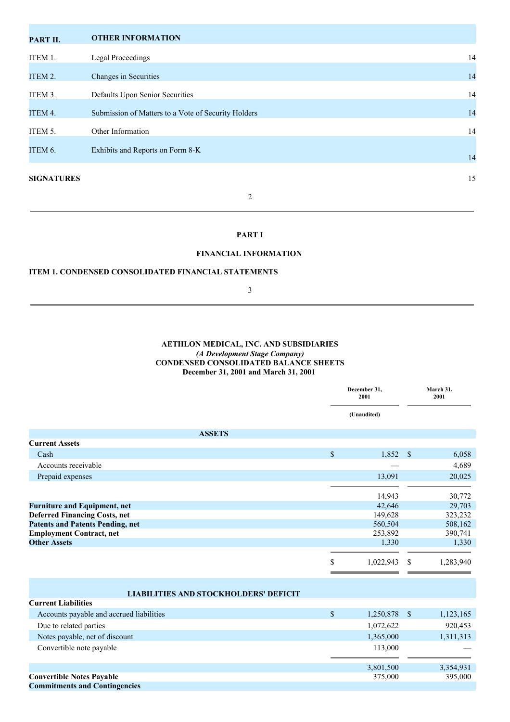| PART II.          | <b>OTHER INFORMATION</b>                            |    |
|-------------------|-----------------------------------------------------|----|
| ITEM 1.           | <b>Legal Proceedings</b>                            | 14 |
| ITEM 2.           | Changes in Securities                               | 14 |
| ITEM 3.           | Defaults Upon Senior Securities                     | 14 |
| ITEM 4.           | Submission of Matters to a Vote of Security Holders | 14 |
| ITEM 5.           | Other Information                                   | 14 |
| ITEM 6.           | Exhibits and Reports on Form 8-K                    |    |
|                   |                                                     | 14 |
| <b>SIGNATURES</b> |                                                     | 15 |
|                   | 2                                                   |    |

## **PART I**

## **FINANCIAL INFORMATION**

## **ITEM 1. CONDENSED CONSOLIDATED FINANCIAL STATEMENTS**

3

## **AETHLON MEDICAL, INC. AND SUBSIDIARIES** *(A Development Stage Company)* **CONDENSED CONSOLIDATED BALANCE SHEETS December 31, 2001 and March 31, 2001**

|                                              |                           | December 31,<br>2001 |               | March 31,<br>2001 |
|----------------------------------------------|---------------------------|----------------------|---------------|-------------------|
|                                              |                           | (Unaudited)          |               |                   |
| <b>ASSETS</b>                                |                           |                      |               |                   |
| <b>Current Assets</b>                        |                           |                      |               |                   |
| Cash                                         | $\boldsymbol{\mathsf{S}}$ | 1,852                | $\mathcal{S}$ | 6,058             |
| Accounts receivable                          |                           |                      |               | 4,689             |
| Prepaid expenses                             |                           | 13,091               |               | 20,025            |
|                                              |                           |                      |               |                   |
|                                              |                           | 14,943               |               | 30,772            |
| <b>Furniture and Equipment, net</b>          |                           | 42,646               |               | 29,703            |
| <b>Deferred Financing Costs, net</b>         |                           | 149,628              |               | 323,232           |
| <b>Patents and Patents Pending, net</b>      |                           | 560,504              |               | 508,162           |
| <b>Employment Contract, net</b>              |                           | 253,892              |               | 390,741           |
| <b>Other Assets</b>                          |                           | 1,330                |               | 1,330             |
|                                              |                           |                      |               |                   |
|                                              | \$                        | 1,022,943            | \$.           | 1,283,940         |
|                                              |                           |                      |               |                   |
|                                              |                           |                      |               |                   |
| <b>LIABILITIES AND STOCKHOLDERS' DEFICIT</b> |                           |                      |               |                   |
| <b>Current Liabilities</b>                   |                           |                      |               |                   |
| Accounts payable and accrued liabilities     | $\boldsymbol{\mathsf{S}}$ | 1,250,878            | <b>S</b>      | 1,123,165         |
| Due to related parties                       |                           | 1,072,622            |               | 920,453           |
| Notes payable, net of discount               |                           | 1,365,000            |               | 1,311,313         |
| Convertible note payable                     |                           | 113,000              |               |                   |
|                                              |                           |                      |               |                   |
|                                              |                           | 3,801,500            |               | 3,354,931         |
| <b>Convertible Notes Payable</b>             |                           | 375,000              |               | 395,000           |
| <b>Commitments and Contingencies</b>         |                           |                      |               |                   |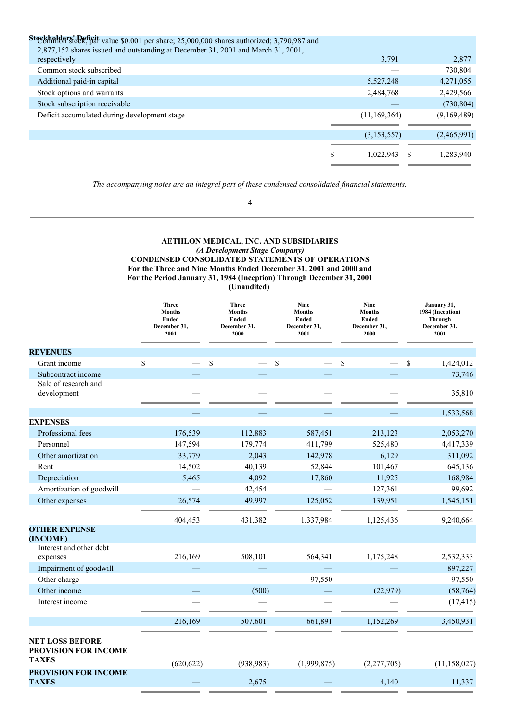| Stockholders' Deficit value \$0.001 per share; 25,000,000 shares authorized; 3,790,987 and |   |              |             |
|--------------------------------------------------------------------------------------------|---|--------------|-------------|
| 2,877,152 shares issued and outstanding at December 31, 2001 and March 31, 2001,           |   |              |             |
| respectively                                                                               |   | 3,791        | 2,877       |
| Common stock subscribed                                                                    |   |              | 730,804     |
| Additional paid-in capital                                                                 |   | 5,527,248    | 4,271,055   |
| Stock options and warrants                                                                 |   | 2,484,768    | 2,429,566   |
| Stock subscription receivable                                                              |   |              | (730, 804)  |
| Deficit accumulated during development stage                                               |   | (11,169,364) | (9,169,489) |
|                                                                                            |   |              |             |
|                                                                                            |   | (3,153,557)  | (2,465,991) |
|                                                                                            |   |              |             |
|                                                                                            | S | 1,022,943    | 1,283,940   |
|                                                                                            |   |              |             |

*The accompanying notes are an integral part of these condensed consolidated financial statements.*

4

## **AETHLON MEDICAL, INC. AND SUBSIDIARIES** *(A Development Stage Company)* **CONDENSED CONSOLIDATED STATEMENTS OF OPERATIONS For the Three and Nine Months Ended December 31, 2001 and 2000 and For the Period January 31, 1984 (Inception) Through December 31, 2001 (Unaudited)**

|                                                                | <b>Three</b><br><b>Months</b><br><b>Ended</b><br>December 31,<br>2001 | <b>Three</b><br><b>Months</b><br><b>Ended</b><br>December 31,<br>2000 | <b>Nine</b><br><b>Months</b><br>Ended<br>December 31,<br>2001 | Nine<br><b>Months</b><br><b>Ended</b><br>December 31,<br>2000 | January 31,<br>1984 (Inception)<br><b>Through</b><br>December 31,<br>2001 |
|----------------------------------------------------------------|-----------------------------------------------------------------------|-----------------------------------------------------------------------|---------------------------------------------------------------|---------------------------------------------------------------|---------------------------------------------------------------------------|
| <b>REVENUES</b>                                                |                                                                       |                                                                       |                                                               |                                                               |                                                                           |
| Grant income                                                   | \$                                                                    | \$                                                                    | \$                                                            | \$                                                            | \$<br>1,424,012                                                           |
| Subcontract income                                             |                                                                       |                                                                       |                                                               |                                                               | 73,746                                                                    |
| Sale of research and<br>development                            |                                                                       |                                                                       |                                                               |                                                               | 35,810                                                                    |
|                                                                |                                                                       |                                                                       |                                                               |                                                               | 1,533,568                                                                 |
| <b>EXPENSES</b>                                                |                                                                       |                                                                       |                                                               |                                                               |                                                                           |
| Professional fees                                              | 176,539                                                               | 112,883                                                               | 587,451                                                       | 213,123                                                       | 2,053,270                                                                 |
| Personnel                                                      | 147,594                                                               | 179,774                                                               | 411,799                                                       | 525,480                                                       | 4,417,339                                                                 |
| Other amortization                                             | 33,779                                                                | 2,043                                                                 | 142,978                                                       | 6,129                                                         | 311,092                                                                   |
| Rent                                                           | 14,502                                                                | 40,139                                                                | 52,844                                                        | 101,467                                                       | 645,136                                                                   |
| Depreciation                                                   | 5,465                                                                 | 4,092                                                                 | 17,860                                                        | 11,925                                                        | 168,984                                                                   |
| Amortization of goodwill                                       |                                                                       | 42,454                                                                |                                                               | 127,361                                                       | 99,692                                                                    |
| Other expenses                                                 | 26,574                                                                | 49,997                                                                | 125,052                                                       | 139,951                                                       | 1,545,151                                                                 |
|                                                                | 404,453                                                               | 431,382                                                               | 1,337,984                                                     | 1,125,436                                                     | 9,240,664                                                                 |
| <b>OTHER EXPENSE</b><br>(INCOME)<br>Interest and other debt    |                                                                       |                                                                       |                                                               |                                                               |                                                                           |
| expenses                                                       | 216,169                                                               | 508,101                                                               | 564,341                                                       | 1,175,248                                                     | 2,532,333                                                                 |
| Impairment of goodwill                                         |                                                                       |                                                                       |                                                               |                                                               | 897,227                                                                   |
| Other charge                                                   |                                                                       |                                                                       | 97,550                                                        |                                                               | 97,550                                                                    |
| Other income                                                   |                                                                       | (500)                                                                 |                                                               | (22,979)                                                      | (58, 764)                                                                 |
| Interest income                                                |                                                                       |                                                                       |                                                               |                                                               | (17, 415)                                                                 |
|                                                                | 216,169                                                               | 507,601                                                               | 661,891                                                       | 1,152,269                                                     | 3,450,931                                                                 |
| <b>NET LOSS BEFORE</b><br>PROVISION FOR INCOME<br><b>TAXES</b> | (620, 622)                                                            | (938, 983)                                                            | (1,999,875)                                                   | (2,277,705)                                                   | (11, 158, 027)                                                            |
| <b>PROVISION FOR INCOME</b><br><b>TAXES</b>                    |                                                                       | 2,675                                                                 |                                                               | 4,140                                                         | 11,337                                                                    |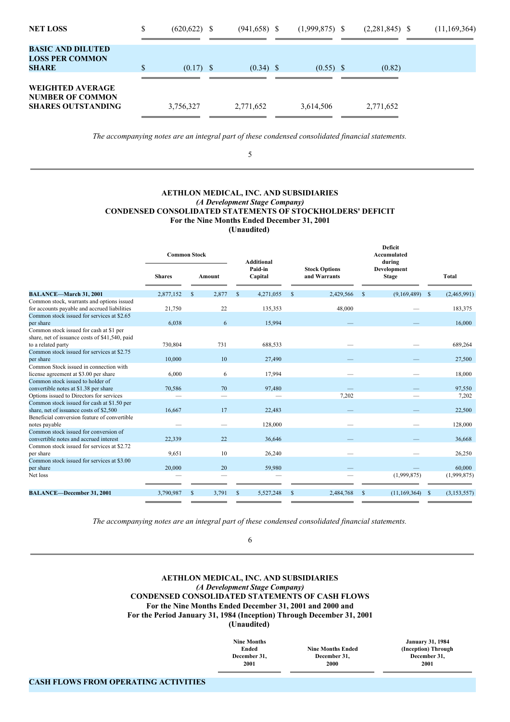| <b>NET LOSS</b>                                                                 | \$<br>$(620, 622)$ \$ | $(941, 658)$ \$ | $(1,999,875)$ \$ | $(2,281,845)$ \$ | (11, 169, 364) |
|---------------------------------------------------------------------------------|-----------------------|-----------------|------------------|------------------|----------------|
| <b>BASIC AND DILUTED</b><br><b>LOSS PER COMMON</b><br><b>SHARE</b>              | \$<br>$(0.17)$ \$     | $(0.34)$ \$     | $(0.55)$ \$      | (0.82)           |                |
| <b>WEIGHTED AVERAGE</b><br><b>NUMBER OF COMMON</b><br><b>SHARES OUTSTANDING</b> | 3,756,327             | 2,771,652       | 3,614,506        | 2,771,652        |                |

*The accompanying notes are an integral part of these condensed consolidated financial statements.*

5

## **AETHLON MEDICAL, INC. AND SUBSIDIARIES** *(A Development Stage Company)* **CONDENSED CONSOLIDATED STATEMENTS OF STOCKHOLDERS' DEFICIT For the Nine Months Ended December 31, 2001 (Unaudited)**

|                                                | <b>Common Stock</b> |                          |    | <b>Additional</b>  |             |           | <b>Deficit</b><br>Accumulated<br>during |                                      |               |                             |  |       |
|------------------------------------------------|---------------------|--------------------------|----|--------------------|-------------|-----------|-----------------------------------------|--------------------------------------|---------------|-----------------------------|--|-------|
|                                                | <b>Shares</b>       | Amount                   |    | Paid-in<br>Capital |             |           |                                         | <b>Stock Options</b><br>and Warrants |               | Development<br><b>Stage</b> |  | Total |
| <b>BALANCE-March 31, 2001</b>                  | 2,877,152           | 2,877<br>\$              | \$ | 4,271,055          | $\mathbf S$ | 2,429,566 | \$                                      | (9,169,489)                          | <sup>\$</sup> | (2,465,991)                 |  |       |
| Common stock, warrants and options issued      |                     |                          |    |                    |             |           |                                         |                                      |               |                             |  |       |
| for accounts payable and accrued liabilities   | 21,750              | 22                       |    | 135,353            |             | 48,000    |                                         |                                      |               | 183,375                     |  |       |
| Common stock issued for services at \$2.65     |                     |                          |    |                    |             |           |                                         |                                      |               |                             |  |       |
| per share                                      | 6,038               | 6                        |    | 15,994             |             |           |                                         |                                      |               | 16,000                      |  |       |
| Common stock issued for cash at \$1 per        |                     |                          |    |                    |             |           |                                         |                                      |               |                             |  |       |
| share, net of issuance costs of \$41,540, paid |                     |                          |    |                    |             |           |                                         |                                      |               |                             |  |       |
| to a related party                             | 730,804             | 731                      |    | 688,533            |             |           |                                         |                                      |               | 689,264                     |  |       |
| Common stock issued for services at \$2.75     |                     |                          |    |                    |             |           |                                         |                                      |               |                             |  |       |
| per share                                      | 10,000              | 10                       |    | 27,490             |             |           |                                         |                                      |               | 27,500                      |  |       |
| Common Stock issued in connection with         |                     |                          |    |                    |             |           |                                         |                                      |               |                             |  |       |
| license agreement at \$3.00 per share          | 6,000               | 6                        |    | 17,994             |             |           |                                         |                                      |               | 18,000                      |  |       |
| Common stock issued to holder of               |                     |                          |    |                    |             |           |                                         |                                      |               |                             |  |       |
| convertible notes at \$1.38 per share          | 70,586              | 70                       |    | 97,480             |             |           |                                         |                                      |               | 97,550                      |  |       |
| Options issued to Directors for services       |                     | $\overline{\phantom{0}}$ |    |                    |             | 7,202     |                                         |                                      |               | 7,202                       |  |       |
| Common stock issued for cash at \$1.50 per     |                     |                          |    |                    |             |           |                                         |                                      |               |                             |  |       |
| share, net of issuance costs of \$2,500        | 16,667              | 17                       |    | 22,483             |             |           |                                         |                                      |               | 22,500                      |  |       |
| Beneficial conversion feature of convertible   |                     |                          |    |                    |             |           |                                         |                                      |               |                             |  |       |
| notes payable                                  |                     |                          |    | 128,000            |             |           |                                         |                                      |               | 128,000                     |  |       |
| Common stock issued for conversion of          |                     |                          |    |                    |             |           |                                         |                                      |               |                             |  |       |
| convertible notes and accrued interest         | 22,339              | 22                       |    | 36,646             |             |           |                                         |                                      |               | 36,668                      |  |       |
| Common stock issued for services at \$2.72     |                     |                          |    |                    |             |           |                                         |                                      |               |                             |  |       |
| per share                                      | 9,651               | 10                       |    | 26,240             |             |           |                                         |                                      |               | 26,250                      |  |       |
| Common stock issued for services at \$3.00     |                     |                          |    |                    |             |           |                                         |                                      |               |                             |  |       |
| per share                                      | 20,000              | 20                       |    | 59.980             |             |           |                                         |                                      |               | 60,000                      |  |       |
| Net loss                                       |                     |                          |    |                    |             |           |                                         | (1,999,875)                          |               | (1,999,875)                 |  |       |
| <b>BALANCE-December 31, 2001</b>               | 3,790,987           | 3,791<br>s               | \$ | 5,527,248          | \$          | 2,484,768 | \$                                      | (11, 169, 364)                       | <sup>\$</sup> | (3,153,557)                 |  |       |
|                                                |                     |                          |    |                    |             |           |                                         |                                      |               |                             |  |       |
|                                                |                     |                          |    |                    |             |           |                                         |                                      |               |                             |  |       |

*The accompanying notes are an integral part of these condensed consolidated financial statements.*

6

**AETHLON MEDICAL, INC. AND SUBSIDIARIES** *(A Development Stage Company)* **CONDENSED CONSOLIDATED STATEMENTS OF CASH FLOWS For the Nine Months Ended December 31, 2001 and 2000 and For the Period January 31, 1984 (Inception) Through December 31, 2001 (Unaudited)**

> **Nine Months Ended December 31, 2001**

**Nine Months Ended December 31, 2000**

**January 31, 1984 (Inception) Through December 31, 2001**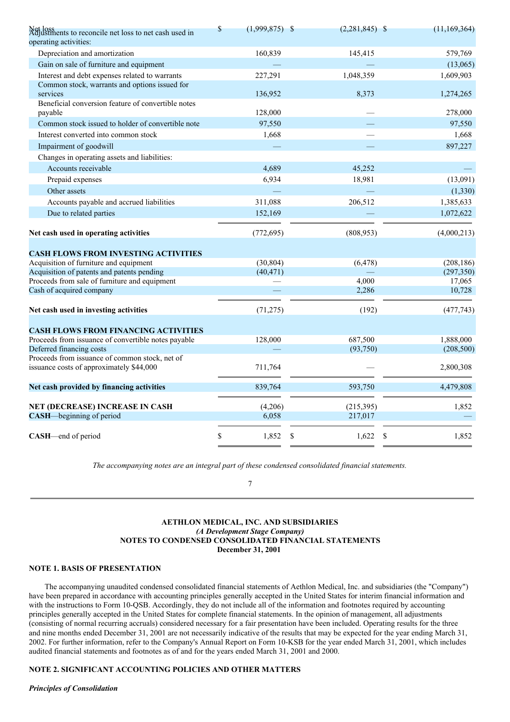| Net loss<br>Adjustments to reconcile net loss to net cash used in<br>operating activities: | $\mathsf{\$}$ | $(1,999,875)$ \$ | $(2,281,845)$ \$ | (11, 169, 364) |
|--------------------------------------------------------------------------------------------|---------------|------------------|------------------|----------------|
| Depreciation and amortization                                                              |               | 160,839          | 145,415          | 579,769        |
| Gain on sale of furniture and equipment                                                    |               |                  |                  | (13,065)       |
| Interest and debt expenses related to warrants                                             |               | 227,291          | 1,048,359        | 1,609,903      |
| Common stock, warrants and options issued for                                              |               |                  |                  |                |
| services                                                                                   |               | 136,952          | 8,373            | 1,274,265      |
| Beneficial conversion feature of convertible notes<br>payable                              |               | 128,000          |                  | 278,000        |
| Common stock issued to holder of convertible note                                          |               | 97,550           |                  | 97,550         |
| Interest converted into common stock                                                       |               | 1,668            |                  | 1,668          |
| Impairment of goodwill                                                                     |               |                  |                  | 897,227        |
| Changes in operating assets and liabilities:                                               |               |                  |                  |                |
| Accounts receivable                                                                        |               | 4,689            | 45,252           |                |
| Prepaid expenses                                                                           |               | 6,934            | 18,981           | (13,091)       |
| Other assets                                                                               |               |                  |                  | (1, 330)       |
| Accounts payable and accrued liabilities                                                   |               | 311,088          | 206,512          | 1,385,633      |
| Due to related parties                                                                     |               | 152,169          |                  | 1,072,622      |
|                                                                                            |               |                  |                  |                |
| Net cash used in operating activities                                                      |               | (772, 695)       | (808, 953)       | (4,000,213)    |
| <b>CASH FLOWS FROM INVESTING ACTIVITIES</b>                                                |               |                  |                  |                |
| Acquisition of furniture and equipment                                                     |               | (30, 804)        | (6, 478)         | (208, 186)     |
| Acquisition of patents and patents pending                                                 |               | (40, 471)        |                  | (297, 350)     |
| Proceeds from sale of furniture and equipment                                              |               |                  | 4,000            | 17,065         |
| Cash of acquired company                                                                   |               |                  | 2,286            | 10,728         |
| Net cash used in investing activities                                                      |               | (71, 275)        | (192)            | (477, 743)     |
| <b>CASH FLOWS FROM FINANCING ACTIVITIES</b>                                                |               |                  |                  |                |
| Proceeds from issuance of convertible notes payable                                        |               | 128,000          | 687,500          | 1,888,000      |
| Deferred financing costs                                                                   |               |                  | (93,750)         | (208, 500)     |
| Proceeds from issuance of common stock, net of<br>issuance costs of approximately \$44,000 |               | 711,764          |                  | 2,800,308      |
| Net cash provided by financing activities                                                  |               | 839,764          | 593,750          | 4,479,808      |
|                                                                                            |               |                  |                  |                |
| <b>NET (DECREASE) INCREASE IN CASH</b>                                                     |               | (4,206)          | (215, 395)       | 1,852          |
| CASH—beginning of period                                                                   |               | 6,058            | 217,017          |                |
| <b>CASH</b> —end of period                                                                 | \$            | 1,852<br>\$      | 1,622            | 1,852<br>S     |

*The accompanying notes are an integral part of these condensed consolidated financial statements.*

7

## **AETHLON MEDICAL, INC. AND SUBSIDIARIES** *(A Development Stage Company)* **NOTES TO CONDENSED CONSOLIDATED FINANCIAL STATEMENTS December 31, 2001**

## **NOTE 1. BASIS OF PRESENTATION**

The accompanying unaudited condensed consolidated financial statements of Aethlon Medical, Inc. and subsidiaries (the "Company") have been prepared in accordance with accounting principles generally accepted in the United States for interim financial information and with the instructions to Form 10-QSB. Accordingly, they do not include all of the information and footnotes required by accounting principles generally accepted in the United States for complete financial statements. In the opinion of management, all adjustments (consisting of normal recurring accruals) considered necessary for a fair presentation have been included. Operating results for the three and nine months ended December 31, 2001 are not necessarily indicative of the results that may be expected for the year ending March 31, 2002. For further information, refer to the Company's Annual Report on Form 10-KSB for the year ended March 31, 2001, which includes audited financial statements and footnotes as of and for the years ended March 31, 2001 and 2000.

## **NOTE 2. SIGNIFICANT ACCOUNTING POLICIES AND OTHER MATTERS**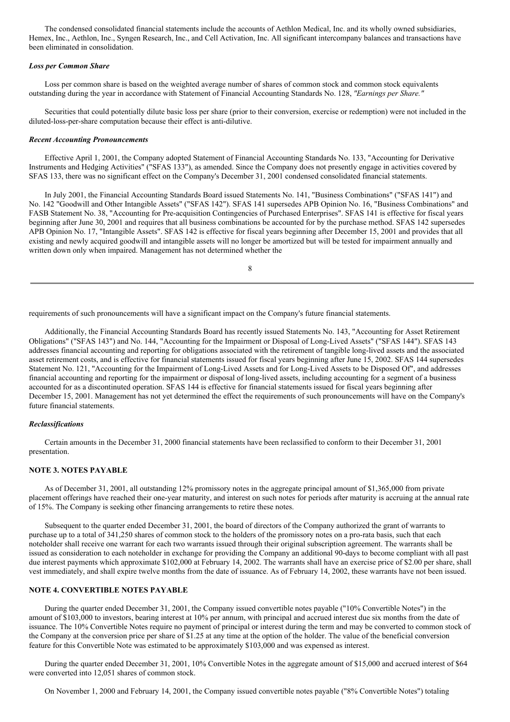The condensed consolidated financial statements include the accounts of Aethlon Medical, Inc. and its wholly owned subsidiaries, Hemex, Inc., Aethlon, Inc., Syngen Research, Inc., and Cell Activation, Inc. All significant intercompany balances and transactions have been eliminated in consolidation.

#### *Loss per Common Share*

Loss per common share is based on the weighted average number of shares of common stock and common stock equivalents outstanding during the year in accordance with Statement of Financial Accounting Standards No. 128, *"Earnings per Share."*

Securities that could potentially dilute basic loss per share (prior to their conversion, exercise or redemption) were not included in the diluted-loss-per-share computation because their effect is anti-dilutive.

#### *Recent Accounting Pronouncements*

Effective April 1, 2001, the Company adopted Statement of Financial Accounting Standards No. 133, "Accounting for Derivative Instruments and Hedging Activities" ("SFAS 133"), as amended. Since the Company does not presently engage in activities covered by SFAS 133, there was no significant effect on the Company's December 31, 2001 condensed consolidated financial statements.

In July 2001, the Financial Accounting Standards Board issued Statements No. 141, "Business Combinations" ("SFAS 141") and No. 142 "Goodwill and Other Intangible Assets" ("SFAS 142"). SFAS 141 supersedes APB Opinion No. 16, "Business Combinations" and FASB Statement No. 38, "Accounting for Pre-acquisition Contingencies of Purchased Enterprises". SFAS 141 is effective for fiscal years beginning after June 30, 2001 and requires that all business combinations be accounted for by the purchase method. SFAS 142 supersedes APB Opinion No. 17, "Intangible Assets". SFAS 142 is effective for fiscal years beginning after December 15, 2001 and provides that all existing and newly acquired goodwill and intangible assets will no longer be amortized but will be tested for impairment annually and written down only when impaired. Management has not determined whether the

8

requirements of such pronouncements will have a significant impact on the Company's future financial statements.

Additionally, the Financial Accounting Standards Board has recently issued Statements No. 143, "Accounting for Asset Retirement Obligations" ("SFAS 143") and No. 144, "Accounting for the Impairment or Disposal of Long-Lived Assets" ("SFAS 144"). SFAS 143 addresses financial accounting and reporting for obligations associated with the retirement of tangible long-lived assets and the associated asset retirement costs, and is effective for financial statements issued for fiscal years beginning after June 15, 2002. SFAS 144 supersedes Statement No. 121, "Accounting for the Impairment of Long-Lived Assets and for Long-Lived Assets to be Disposed Of", and addresses financial accounting and reporting for the impairment or disposal of long-lived assets, including accounting for a segment of a business accounted for as a discontinuted operation. SFAS 144 is effective for financial statements issued for fiscal years beginning after December 15, 2001. Management has not yet determined the effect the requirements of such pronouncements will have on the Company's future financial statements.

#### *Reclassifications*

Certain amounts in the December 31, 2000 financial statements have been reclassified to conform to their December 31, 2001 presentation.

### **NOTE 3. NOTES PAYABLE**

As of December 31, 2001, all outstanding 12% promissory notes in the aggregate principal amount of \$1,365,000 from private placement offerings have reached their one-year maturity, and interest on such notes for periods after maturity is accruing at the annual rate of 15%. The Company is seeking other financing arrangements to retire these notes.

Subsequent to the quarter ended December 31, 2001, the board of directors of the Company authorized the grant of warrants to purchase up to a total of 341,250 shares of common stock to the holders of the promissory notes on a pro-rata basis, such that each noteholder shall receive one warrant for each two warrants issued through their original subscription agreement. The warrants shall be issued as consideration to each noteholder in exchange for providing the Company an additional 90-days to become compliant with all past due interest payments which approximate \$102,000 at February 14, 2002. The warrants shall have an exercise price of \$2.00 per share, shall vest immediately, and shall expire twelve months from the date of issuance. As of February 14, 2002, these warrants have not been issued.

## **NOTE 4. CONVERTIBLE NOTES PAYABLE**

During the quarter ended December 31, 2001, the Company issued convertible notes payable ("10% Convertible Notes") in the amount of \$103,000 to investors, bearing interest at 10% per annum, with principal and accrued interest due six months from the date of issuance. The 10% Convertible Notes require no payment of principal or interest during the term and may be converted to common stock of the Company at the conversion price per share of \$1.25 at any time at the option of the holder. The value of the beneficial conversion feature for this Convertible Note was estimated to be approximately \$103,000 and was expensed as interest.

During the quarter ended December 31, 2001, 10% Convertible Notes in the aggregate amount of \$15,000 and accrued interest of \$64 were converted into 12,051 shares of common stock.

On November 1, 2000 and February 14, 2001, the Company issued convertible notes payable ("8% Convertible Notes") totaling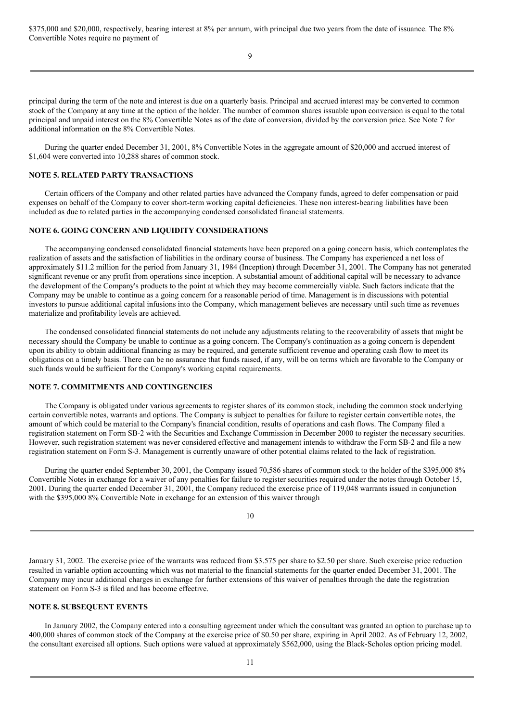\$375,000 and \$20,000, respectively, bearing interest at 8% per annum, with principal due two years from the date of issuance. The 8% Convertible Notes require no payment of

9

principal during the term of the note and interest is due on a quarterly basis. Principal and accrued interest may be converted to common stock of the Company at any time at the option of the holder. The number of common shares issuable upon conversion is equal to the total principal and unpaid interest on the 8% Convertible Notes as of the date of conversion, divided by the conversion price. See Note 7 for additional information on the 8% Convertible Notes.

During the quarter ended December 31, 2001, 8% Convertible Notes in the aggregate amount of \$20,000 and accrued interest of \$1,604 were converted into 10,288 shares of common stock.

## **NOTE 5. RELATED PARTY TRANSACTIONS**

Certain officers of the Company and other related parties have advanced the Company funds, agreed to defer compensation or paid expenses on behalf of the Company to cover short-term working capital deficiencies. These non interest-bearing liabilities have been included as due to related parties in the accompanying condensed consolidated financial statements.

## **NOTE 6. GOING CONCERN AND LIQUIDITY CONSIDERATIONS**

The accompanying condensed consolidated financial statements have been prepared on a going concern basis, which contemplates the realization of assets and the satisfaction of liabilities in the ordinary course of business. The Company has experienced a net loss of approximately \$11.2 million for the period from January 31, 1984 (Inception) through December 31, 2001. The Company has not generated significant revenue or any profit from operations since inception. A substantial amount of additional capital will be necessary to advance the development of the Company's products to the point at which they may become commercially viable. Such factors indicate that the Company may be unable to continue as a going concern for a reasonable period of time. Management is in discussions with potential investors to pursue additional capital infusions into the Company, which management believes are necessary until such time as revenues materialize and profitability levels are achieved.

The condensed consolidated financial statements do not include any adjustments relating to the recoverability of assets that might be necessary should the Company be unable to continue as a going concern. The Company's continuation as a going concern is dependent upon its ability to obtain additional financing as may be required, and generate sufficient revenue and operating cash flow to meet its obligations on a timely basis. There can be no assurance that funds raised, if any, will be on terms which are favorable to the Company or such funds would be sufficient for the Company's working capital requirements.

#### **NOTE 7. COMMITMENTS AND CONTINGENCIES**

The Company is obligated under various agreements to register shares of its common stock, including the common stock underlying certain convertible notes, warrants and options. The Company is subject to penalties for failure to register certain convertible notes, the amount of which could be material to the Company's financial condition, results of operations and cash flows. The Company filed a registration statement on Form SB-2 with the Securities and Exchange Commission in December 2000 to register the necessary securities. However, such registration statement was never considered effective and management intends to withdraw the Form SB-2 and file a new registration statement on Form S-3. Management is currently unaware of other potential claims related to the lack of registration.

During the quarter ended September 30, 2001, the Company issued 70.586 shares of common stock to the holder of the \$395,000 8% Convertible Notes in exchange for a waiver of any penalties for failure to register securities required under the notes through October 15, 2001. During the quarter ended December 31, 2001, the Company reduced the exercise price of 119,048 warrants issued in conjunction with the \$395,000 8% Convertible Note in exchange for an extension of this waiver through

January 31, 2002. The exercise price of the warrants was reduced from \$3.575 per share to \$2.50 per share. Such exercise price reduction resulted in variable option accounting which was not material to the financial statements for the quarter ended December 31, 2001. The Company may incur additional charges in exchange for further extensions of this waiver of penalties through the date the registration statement on Form S-3 is filed and has become effective.

## **NOTE 8. SUBSEQUENT EVENTS**

In January 2002, the Company entered into a consulting agreement under which the consultant was granted an option to purchase up to 400,000 shares of common stock of the Company at the exercise price of \$0.50 per share, expiring in April 2002. As of February 12, 2002, the consultant exercised all options. Such options were valued at approximately \$562,000, using the Black-Scholes option pricing model.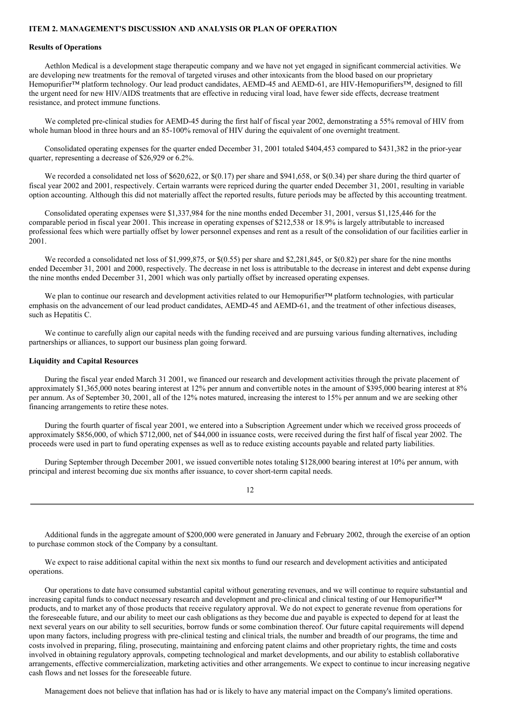#### **ITEM 2. MANAGEMENT'S DISCUSSION AND ANALYSIS OR PLAN OF OPERATION**

#### **Results of Operations**

Aethlon Medical is a development stage therapeutic company and we have not yet engaged in significant commercial activities. We are developing new treatments for the removal of targeted viruses and other intoxicants from the blood based on our proprietary Hemopurifier™ platform technology. Our lead product candidates, AEMD-45 and AEMD-61, are HIV-Hemopurifiers™, designed to fill the urgent need for new HIV/AIDS treatments that are effective in reducing viral load, have fewer side effects, decrease treatment resistance, and protect immune functions.

We completed pre-clinical studies for AEMD-45 during the first half of fiscal year 2002, demonstrating a 55% removal of HIV from whole human blood in three hours and an 85-100% removal of HIV during the equivalent of one overnight treatment.

Consolidated operating expenses for the quarter ended December 31, 2001 totaled \$404,453 compared to \$431,382 in the prior-year quarter, representing a decrease of \$26,929 or 6.2%.

We recorded a consolidated net loss of \$620,622, or \$(0.17) per share and \$941,658, or \$(0.34) per share during the third quarter of fiscal year 2002 and 2001, respectively. Certain warrants were repriced during the quarter ended December 31, 2001, resulting in variable option accounting. Although this did not materially affect the reported results, future periods may be affected by this accounting treatment.

Consolidated operating expenses were \$1,337,984 for the nine months ended December 31, 2001, versus \$1,125,446 for the comparable period in fiscal year 2001. This increase in operating expenses of \$212,538 or 18.9% is largely attributable to increased professional fees which were partially offset by lower personnel expenses and rent as a result of the consolidation of our facilities earlier in 2001.

We recorded a consolidated net loss of \$1,999,875, or  $\frac{6(0.55)}{2}$  per share and \$2,281,845, or  $\frac{6(0.82)}{2}$  per share for the nine months ended December 31, 2001 and 2000, respectively. The decrease in net loss is attributable to the decrease in interest and debt expense during the nine months ended December 31, 2001 which was only partially offset by increased operating expenses.

We plan to continue our research and development activities related to our Hemopurifier™ platform technologies, with particular emphasis on the advancement of our lead product candidates, AEMD-45 and AEMD-61, and the treatment of other infectious diseases, such as Hepatitis C.

We continue to carefully align our capital needs with the funding received and are pursuing various funding alternatives, including partnerships or alliances, to support our business plan going forward.

#### **Liquidity and Capital Resources**

During the fiscal year ended March 31 2001, we financed our research and development activities through the private placement of approximately \$1,365,000 notes bearing interest at 12% per annum and convertible notes in the amount of \$395,000 bearing interest at 8% per annum. As of September 30, 2001, all of the 12% notes matured, increasing the interest to 15% per annum and we are seeking other financing arrangements to retire these notes.

During the fourth quarter of fiscal year 2001, we entered into a Subscription Agreement under which we received gross proceeds of approximately \$856,000, of which \$712,000, net of \$44,000 in issuance costs, were received during the first half of fiscal year 2002. The proceeds were used in part to fund operating expenses as well as to reduce existing accounts payable and related party liabilities.

During September through December 2001, we issued convertible notes totaling \$128,000 bearing interest at 10% per annum, with principal and interest becoming due six months after issuance, to cover short-term capital needs.

12

Additional funds in the aggregate amount of \$200,000 were generated in January and February 2002, through the exercise of an option to purchase common stock of the Company by a consultant.

We expect to raise additional capital within the next six months to fund our research and development activities and anticipated operations.

Our operations to date have consumed substantial capital without generating revenues, and we will continue to require substantial and increasing capital funds to conduct necessary research and development and pre-clinical and clinical testing of our Hemopurifier™ products, and to market any of those products that receive regulatory approval. We do not expect to generate revenue from operations for the foreseeable future, and our ability to meet our cash obligations as they become due and payable is expected to depend for at least the next several years on our ability to sell securities, borrow funds or some combination thereof. Our future capital requirements will depend upon many factors, including progress with pre-clinical testing and clinical trials, the number and breadth of our programs, the time and costs involved in preparing, filing, prosecuting, maintaining and enforcing patent claims and other proprietary rights, the time and costs involved in obtaining regulatory approvals, competing technological and market developments, and our ability to establish collaborative arrangements, effective commercialization, marketing activities and other arrangements. We expect to continue to incur increasing negative cash flows and net losses for the foreseeable future.

Management does not believe that inflation has had or is likely to have any material impact on the Company's limited operations.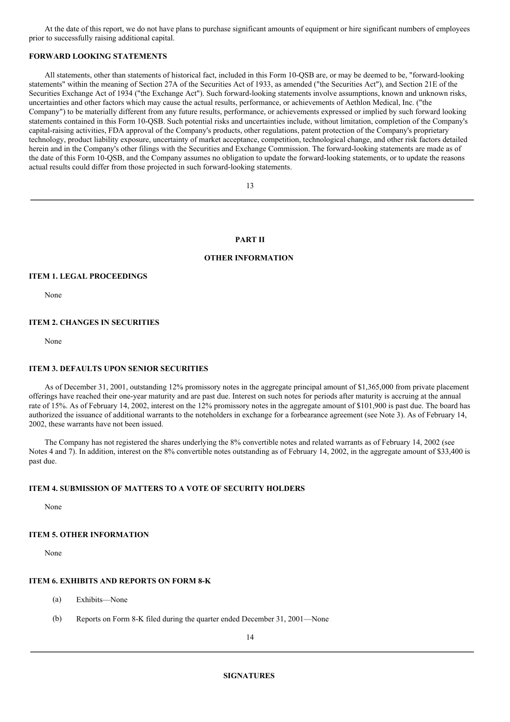At the date of this report, we do not have plans to purchase significant amounts of equipment or hire significant numbers of employees prior to successfully raising additional capital.

## **FORWARD LOOKING STATEMENTS**

All statements, other than statements of historical fact, included in this Form 10-QSB are, or may be deemed to be, "forward-looking statements" within the meaning of Section 27A of the Securities Act of 1933, as amended ("the Securities Act"), and Section 21E of the Securities Exchange Act of 1934 ("the Exchange Act"). Such forward-looking statements involve assumptions, known and unknown risks, uncertainties and other factors which may cause the actual results, performance, or achievements of Aethlon Medical, Inc. ("the Company") to be materially different from any future results, performance, or achievements expressed or implied by such forward looking statements contained in this Form 10-QSB. Such potential risks and uncertainties include, without limitation, completion of the Company's capital-raising activities, FDA approval of the Company's products, other regulations, patent protection of the Company's proprietary technology, product liability exposure, uncertainty of market acceptance, competition, technological change, and other risk factors detailed herein and in the Company's other filings with the Securities and Exchange Commission. The forward-looking statements are made as of the date of this Form 10-QSB, and the Company assumes no obligation to update the forward-looking statements, or to update the reasons actual results could differ from those projected in such forward-looking statements.

13

## **PART II**

## **OTHER INFORMATION**

#### **ITEM 1. LEGAL PROCEEDINGS**

None

## **ITEM 2. CHANGES IN SECURITIES**

None

#### **ITEM 3. DEFAULTS UPON SENIOR SECURITIES**

As of December 31, 2001, outstanding 12% promissory notes in the aggregate principal amount of \$1,365,000 from private placement offerings have reached their one-year maturity and are past due. Interest on such notes for periods after maturity is accruing at the annual rate of 15%. As of February 14, 2002, interest on the 12% promissory notes in the aggregate amount of \$101,900 is past due. The board has authorized the issuance of additional warrants to the noteholders in exchange for a forbearance agreement (see Note 3). As of February 14, 2002, these warrants have not been issued.

The Company has not registered the shares underlying the 8% convertible notes and related warrants as of February 14, 2002 (see Notes 4 and 7). In addition, interest on the 8% convertible notes outstanding as of February 14, 2002, in the aggregate amount of \$33,400 is past due.

#### **ITEM 4. SUBMISSION OF MATTERS TO A VOTE OF SECURITY HOLDERS**

None

## **ITEM 5. OTHER INFORMATION**

None

## **ITEM 6. EXHIBITS AND REPORTS ON FORM 8-K**

- (a) Exhibits—None
- (b) Reports on Form 8-K filed during the quarter ended December 31, 2001—None